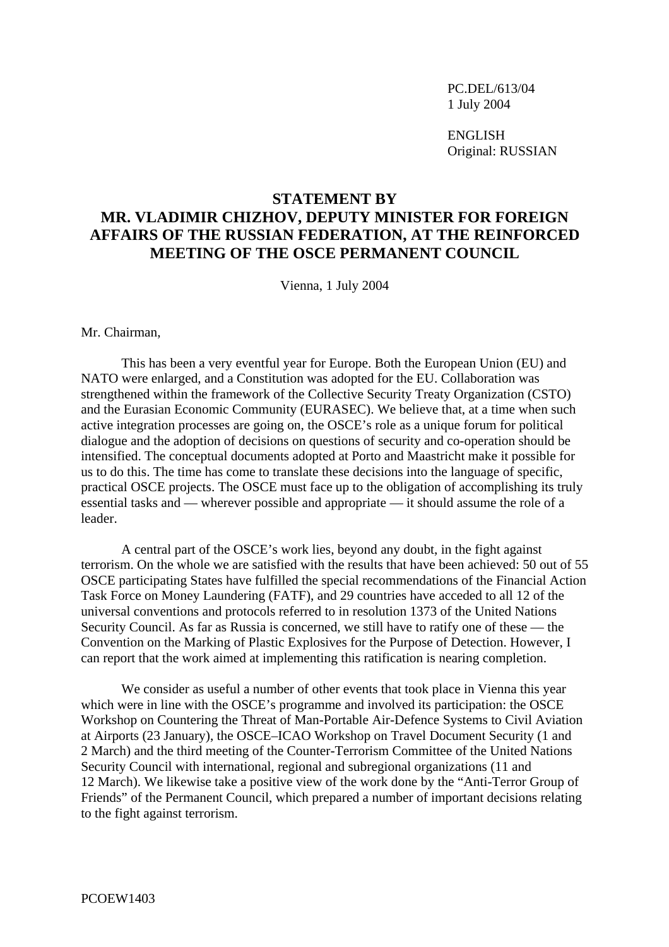PC.DEL/613/04 1 July 2004

**ENGLISH** Original: RUSSIAN

## **STATEMENT BY**

## **MR. VLADIMIR CHIZHOV, DEPUTY MINISTER FOR FOREIGN AFFAIRS OF THE RUSSIAN FEDERATION, AT THE REINFORCED MEETING OF THE OSCE PERMANENT COUNCIL**

Vienna, 1 July 2004

Mr. Chairman,

 This has been a very eventful year for Europe. Both the European Union (EU) and NATO were enlarged, and a Constitution was adopted for the EU. Collaboration was strengthened within the framework of the Collective Security Treaty Organization (CSTO) and the Eurasian Economic Community (EURASEC). We believe that, at a time when such active integration processes are going on, the OSCE's role as a unique forum for political dialogue and the adoption of decisions on questions of security and co-operation should be intensified. The conceptual documents adopted at Porto and Maastricht make it possible for us to do this. The time has come to translate these decisions into the language of specific, practical OSCE projects. The OSCE must face up to the obligation of accomplishing its truly essential tasks and — wherever possible and appropriate — it should assume the role of a leader.

 A central part of the OSCE's work lies, beyond any doubt, in the fight against terrorism. On the whole we are satisfied with the results that have been achieved: 50 out of 55 OSCE participating States have fulfilled the special recommendations of the Financial Action Task Force on Money Laundering (FATF), and 29 countries have acceded to all 12 of the universal conventions and protocols referred to in resolution 1373 of the United Nations Security Council. As far as Russia is concerned, we still have to ratify one of these — the Convention on the Marking of Plastic Explosives for the Purpose of Detection. However, I can report that the work aimed at implementing this ratification is nearing completion.

 We consider as useful a number of other events that took place in Vienna this year which were in line with the OSCE's programme and involved its participation: the OSCE Workshop on Countering the Threat of Man-Portable Air-Defence Systems to Civil Aviation at Airports (23 January), the OSCE–ICAO Workshop on Travel Document Security (1 and 2 March) and the third meeting of the Counter-Terrorism Committee of the United Nations Security Council with international, regional and subregional organizations (11 and 12 March). We likewise take a positive view of the work done by the "Anti-Terror Group of Friends" of the Permanent Council, which prepared a number of important decisions relating to the fight against terrorism.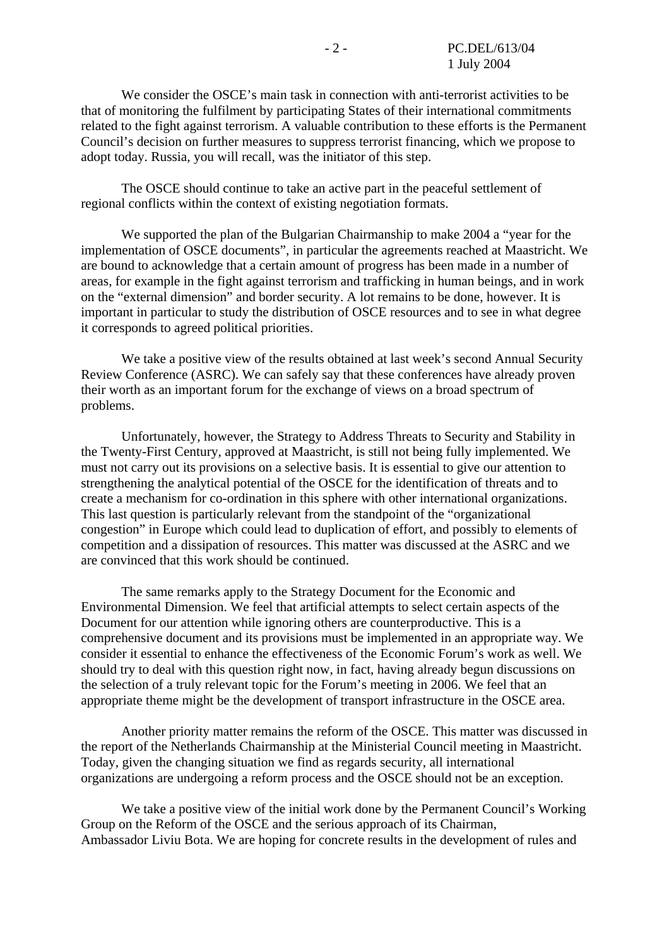We consider the OSCE's main task in connection with anti-terrorist activities to be that of monitoring the fulfilment by participating States of their international commitments related to the fight against terrorism. A valuable contribution to these efforts is the Permanent Council's decision on further measures to suppress terrorist financing, which we propose to adopt today. Russia, you will recall, was the initiator of this step.

 The OSCE should continue to take an active part in the peaceful settlement of regional conflicts within the context of existing negotiation formats.

 We supported the plan of the Bulgarian Chairmanship to make 2004 a "year for the implementation of OSCE documents", in particular the agreements reached at Maastricht. We are bound to acknowledge that a certain amount of progress has been made in a number of areas, for example in the fight against terrorism and trafficking in human beings, and in work on the "external dimension" and border security. A lot remains to be done, however. It is important in particular to study the distribution of OSCE resources and to see in what degree it corresponds to agreed political priorities.

 We take a positive view of the results obtained at last week's second Annual Security Review Conference (ASRC). We can safely say that these conferences have already proven their worth as an important forum for the exchange of views on a broad spectrum of problems.

 Unfortunately, however, the Strategy to Address Threats to Security and Stability in the Twenty-First Century, approved at Maastricht, is still not being fully implemented. We must not carry out its provisions on a selective basis. It is essential to give our attention to strengthening the analytical potential of the OSCE for the identification of threats and to create a mechanism for co-ordination in this sphere with other international organizations. This last question is particularly relevant from the standpoint of the "organizational congestion" in Europe which could lead to duplication of effort, and possibly to elements of competition and a dissipation of resources. This matter was discussed at the ASRC and we are convinced that this work should be continued.

 The same remarks apply to the Strategy Document for the Economic and Environmental Dimension. We feel that artificial attempts to select certain aspects of the Document for our attention while ignoring others are counterproductive. This is a comprehensive document and its provisions must be implemented in an appropriate way. We consider it essential to enhance the effectiveness of the Economic Forum's work as well. We should try to deal with this question right now, in fact, having already begun discussions on the selection of a truly relevant topic for the Forum's meeting in 2006. We feel that an appropriate theme might be the development of transport infrastructure in the OSCE area.

 Another priority matter remains the reform of the OSCE. This matter was discussed in the report of the Netherlands Chairmanship at the Ministerial Council meeting in Maastricht. Today, given the changing situation we find as regards security, all international organizations are undergoing a reform process and the OSCE should not be an exception.

 We take a positive view of the initial work done by the Permanent Council's Working Group on the Reform of the OSCE and the serious approach of its Chairman, Ambassador Liviu Bota. We are hoping for concrete results in the development of rules and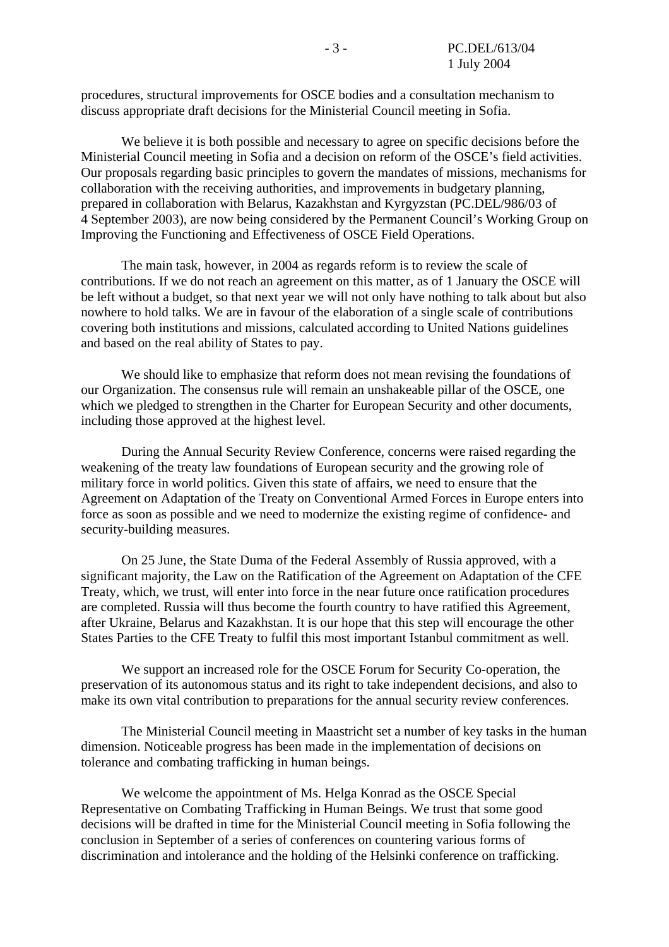procedures, structural improvements for OSCE bodies and a consultation mechanism to discuss appropriate draft decisions for the Ministerial Council meeting in Sofia.

 We believe it is both possible and necessary to agree on specific decisions before the Ministerial Council meeting in Sofia and a decision on reform of the OSCE's field activities. Our proposals regarding basic principles to govern the mandates of missions, mechanisms for collaboration with the receiving authorities, and improvements in budgetary planning, prepared in collaboration with Belarus, Kazakhstan and Kyrgyzstan (PC.DEL/986/03 of 4 September 2003), are now being considered by the Permanent Council's Working Group on Improving the Functioning and Effectiveness of OSCE Field Operations.

 The main task, however, in 2004 as regards reform is to review the scale of contributions. If we do not reach an agreement on this matter, as of 1 January the OSCE will be left without a budget, so that next year we will not only have nothing to talk about but also nowhere to hold talks. We are in favour of the elaboration of a single scale of contributions covering both institutions and missions, calculated according to United Nations guidelines and based on the real ability of States to pay.

 We should like to emphasize that reform does not mean revising the foundations of our Organization. The consensus rule will remain an unshakeable pillar of the OSCE, one which we pledged to strengthen in the Charter for European Security and other documents, including those approved at the highest level.

 During the Annual Security Review Conference, concerns were raised regarding the weakening of the treaty law foundations of European security and the growing role of military force in world politics. Given this state of affairs, we need to ensure that the Agreement on Adaptation of the Treaty on Conventional Armed Forces in Europe enters into force as soon as possible and we need to modernize the existing regime of confidence- and security-building measures.

 On 25 June, the State Duma of the Federal Assembly of Russia approved, with a significant majority, the Law on the Ratification of the Agreement on Adaptation of the CFE Treaty, which, we trust, will enter into force in the near future once ratification procedures are completed. Russia will thus become the fourth country to have ratified this Agreement, after Ukraine, Belarus and Kazakhstan. It is our hope that this step will encourage the other States Parties to the CFE Treaty to fulfil this most important Istanbul commitment as well.

 We support an increased role for the OSCE Forum for Security Co-operation, the preservation of its autonomous status and its right to take independent decisions, and also to make its own vital contribution to preparations for the annual security review conferences.

 The Ministerial Council meeting in Maastricht set a number of key tasks in the human dimension. Noticeable progress has been made in the implementation of decisions on tolerance and combating trafficking in human beings.

 We welcome the appointment of Ms. Helga Konrad as the OSCE Special Representative on Combating Trafficking in Human Beings. We trust that some good decisions will be drafted in time for the Ministerial Council meeting in Sofia following the conclusion in September of a series of conferences on countering various forms of discrimination and intolerance and the holding of the Helsinki conference on trafficking.